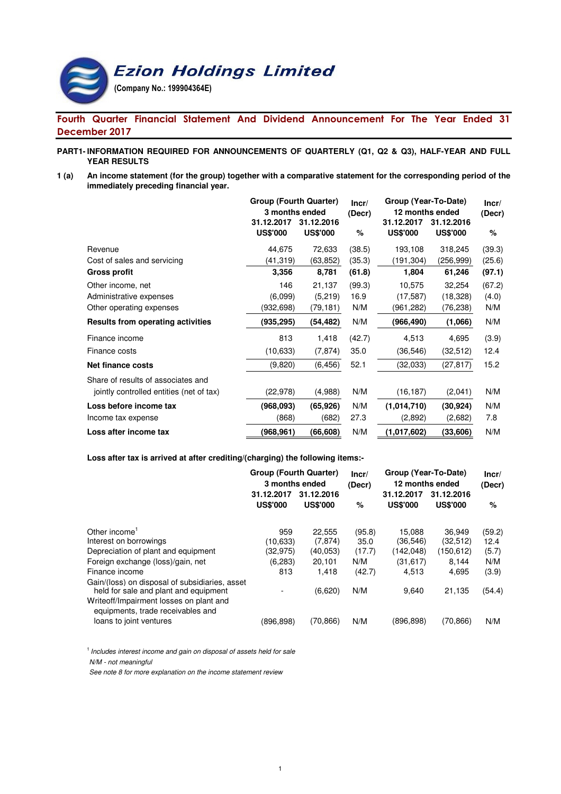

# Fourth Quarter Financial Statement And Dividend Announcement For The Year Ended 31 December 2017

#### **PART1- INFORMATION REQUIRED FOR ANNOUNCEMENTS OF QUARTERLY (Q1, Q2 & Q3), HALF-YEAR AND FULL YEAR RESULTS**

**1 (a) An income statement (for the group) together with a comparative statement for the corresponding period of the immediately preceding financial year.**

|                                          | Group (Fourth Quarter) |                 | Incr/  | Group (Year-To-Date) | Incr/           |        |  |
|------------------------------------------|------------------------|-----------------|--------|----------------------|-----------------|--------|--|
|                                          | 3 months ended         |                 | (Decr) | 12 months ended      |                 | (Decr) |  |
|                                          | 31.12.2017             | 31.12.2016      |        | 31.12.2017           | 31.12.2016      |        |  |
|                                          | <b>US\$'000</b>        | <b>US\$'000</b> | %      | <b>US\$'000</b>      | <b>US\$'000</b> | %      |  |
| Revenue                                  | 44,675                 | 72,633          | (38.5) | 193,108              | 318,245         | (39.3) |  |
| Cost of sales and servicing              | (41,319)               | (63,852)        | (35.3) | (191,304)            | (256,999)       | (25.6) |  |
| <b>Gross profit</b>                      | 3,356                  | 8,781           | (61.8) | 1,804                | 61,246          | (97.1) |  |
| Other income, net                        | 146                    | 21,137          | (99.3) | 10,575               | 32,254          | (67.2) |  |
| Administrative expenses                  | (6.099)                | (5, 219)        | 16.9   | (17, 587)            | (18, 328)       | (4.0)  |  |
| Other operating expenses                 | (932,698)              | (79,181)        | N/M    | (961,282)            | (76,238)        | N/M    |  |
| <b>Results from operating activities</b> | (935,295)              | (54,482)        | N/M    | (966,490)            | (1,066)         | N/M    |  |
| Finance income                           | 813                    | 1,418           | (42.7) | 4,513                | 4,695           | (3.9)  |  |
| Finance costs                            | (10, 633)              | (7, 874)        | 35.0   | (36, 546)            | (32, 512)       | 12.4   |  |
| <b>Net finance costs</b>                 | (9,820)                | (6, 456)        | 52.1   | (32,033)             | (27, 817)       | 15.2   |  |
| Share of results of associates and       |                        |                 |        |                      |                 |        |  |
| jointly controlled entities (net of tax) | (22, 978)              | (4,988)         | N/M    | (16, 187)            | (2,041)         | N/M    |  |
| Loss before income tax                   | (968,093)              | (65, 926)       | N/M    | (1,014,710)          | (30, 924)       | N/M    |  |
| Income tax expense                       | (868)                  | (682)           | 27.3   | (2,892)              | (2,682)         | 7.8    |  |
| Loss after income tax                    | (968.961)              | (66,608)        | N/M    | (1,017,602)          | (33,606)        | N/M    |  |

## **Loss after tax is arrived at after crediting/(charging) the following items:-**

|                                                                                         | <b>Group (Fourth Quarter)</b><br>3 months ended |                               | Incr/<br>(Decr) |                               | Group (Year-To-Date)<br>12 months ended |        |
|-----------------------------------------------------------------------------------------|-------------------------------------------------|-------------------------------|-----------------|-------------------------------|-----------------------------------------|--------|
|                                                                                         | 31.12.2017<br><b>US\$'000</b>                   | 31.12.2016<br><b>US\$'000</b> | %               | 31.12.2017<br><b>US\$'000</b> | 31.12.2016<br><b>US\$'000</b>           | %      |
| Other income <sup>1</sup>                                                               | 959                                             | 22,555                        | (95.8)          | 15.088                        | 36.949                                  | (59.2) |
| Interest on borrowings                                                                  | (10,633)                                        | (7, 874)                      | 35.0            | (36,546)                      | (32, 512)                               | 12.4   |
| Depreciation of plant and equipment                                                     | (32,975)                                        | (40, 053)                     | (17.7)          | (142, 048)                    | (150, 612)                              | (5.7)  |
| Foreign exchange (loss)/gain, net                                                       | (6, 283)                                        | 20,101                        | N/M             | (31,617)                      | 8.144                                   | N/M    |
| Finance income                                                                          | 813                                             | 1.418                         | (42.7)          | 4.513                         | 4.695                                   | (3.9)  |
| Gain/(loss) on disposal of subsidiaries, asset<br>held for sale and plant and equipment |                                                 | (6,620)                       | N/M             | 9,640                         | 21,135                                  | (54.4) |
| Writeoff/Impairment losses on plant and<br>equipments, trade receivables and            |                                                 |                               |                 |                               |                                         |        |
| loans to joint ventures                                                                 | (896,898)                                       | (70, 866)                     | N/M             | (896,898)                     | (70,866)                                | N/M    |

 $<sup>1</sup>$  Includes interest income and gain on disposal of assets held for sale</sup>

N/M - not meaningful

See note 8 for more explanation on the income statement review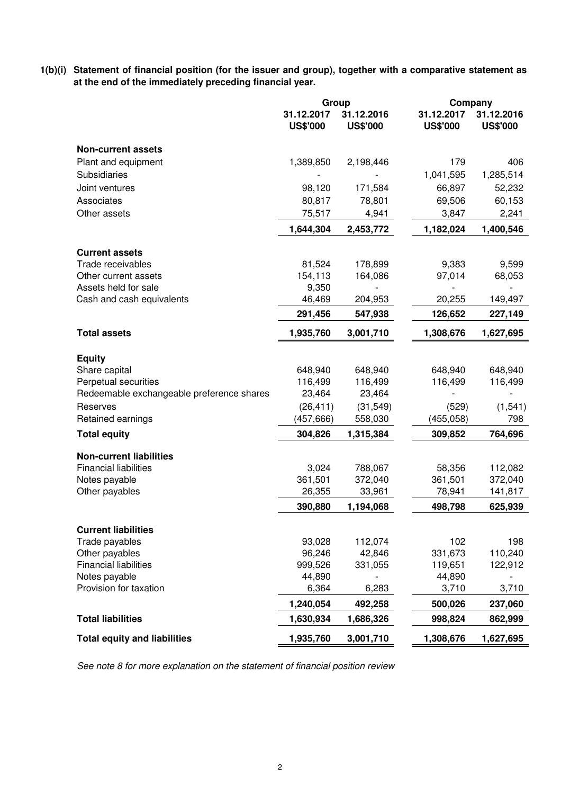**1(b)(i) Statement of financial position (for the issuer and group), together with a comparative statement as at the end of the immediately preceding financial year.**

|                                           | Group                         |                               | Company                       |                               |
|-------------------------------------------|-------------------------------|-------------------------------|-------------------------------|-------------------------------|
|                                           | 31.12.2017<br><b>US\$'000</b> | 31.12.2016<br><b>US\$'000</b> | 31.12.2017<br><b>US\$'000</b> | 31.12.2016<br><b>US\$'000</b> |
| <b>Non-current assets</b>                 |                               |                               |                               |                               |
| Plant and equipment                       | 1,389,850                     | 2,198,446                     | 179                           | 406                           |
| Subsidiaries                              |                               |                               | 1,041,595                     | 1,285,514                     |
| Joint ventures                            | 98,120                        | 171,584                       | 66,897                        | 52,232                        |
| Associates                                | 80,817                        | 78,801                        | 69,506                        | 60,153                        |
| Other assets                              | 75,517                        | 4,941                         | 3,847                         | 2,241                         |
|                                           | 1,644,304                     | 2,453,772                     | 1,182,024                     | 1,400,546                     |
| <b>Current assets</b>                     |                               |                               |                               |                               |
| Trade receivables                         | 81,524                        | 178,899                       | 9,383                         | 9,599                         |
| Other current assets                      | 154,113                       | 164,086                       | 97,014                        | 68,053                        |
| Assets held for sale                      | 9,350                         |                               |                               |                               |
| Cash and cash equivalents                 | 46,469                        | 204,953                       | 20,255                        | 149,497                       |
|                                           | 291,456                       | 547,938                       | 126,652                       | 227,149                       |
| <b>Total assets</b>                       | 1,935,760                     | 3,001,710                     | 1,308,676                     | 1,627,695                     |
| <b>Equity</b>                             |                               |                               |                               |                               |
| Share capital                             | 648,940                       | 648,940                       | 648,940                       | 648,940                       |
| Perpetual securities                      | 116,499                       | 116,499                       | 116,499                       | 116,499                       |
| Redeemable exchangeable preference shares | 23,464                        | 23,464                        |                               |                               |
| Reserves                                  | (26, 411)                     | (31, 549)                     | (529)                         | (1, 541)                      |
| Retained earnings                         | (457, 666)                    | 558,030                       | (455,058)                     | 798                           |
| <b>Total equity</b>                       | 304,826                       | 1,315,384                     | 309,852                       | 764,696                       |
| <b>Non-current liabilities</b>            |                               |                               |                               |                               |
| <b>Financial liabilities</b>              | 3,024                         | 788,067                       | 58,356                        | 112,082                       |
| Notes payable                             | 361,501                       | 372,040                       | 361,501                       | 372,040                       |
| Other payables                            | 26,355                        | 33,961                        | 78,941                        | 141,817                       |
|                                           | 390,880                       | 1,194,068                     | 498,798                       | 625,939                       |
| <b>Current liabilities</b>                |                               |                               |                               |                               |
| Trade payables                            | 93,028                        | 112,074                       | 102                           | 198                           |
| Other payables                            | 96,246                        | 42,846                        | 331,673                       | 110,240                       |
| <b>Financial liabilities</b>              | 999,526                       | 331,055                       | 119,651                       | 122,912                       |
| Notes payable                             | 44,890                        |                               | 44,890                        |                               |
| Provision for taxation                    | 6,364                         | 6,283                         | 3,710                         | 3,710                         |
| <b>Total liabilities</b>                  | 1,240,054<br>1,630,934        | 492,258                       | 500,026<br>998,824            | 237,060                       |
|                                           |                               | 1,686,326                     |                               | 862,999                       |
| <b>Total equity and liabilities</b>       | 1,935,760                     | 3,001,710                     | 1,308,676                     | 1,627,695                     |

See note 8 for more explanation on the statement of financial position review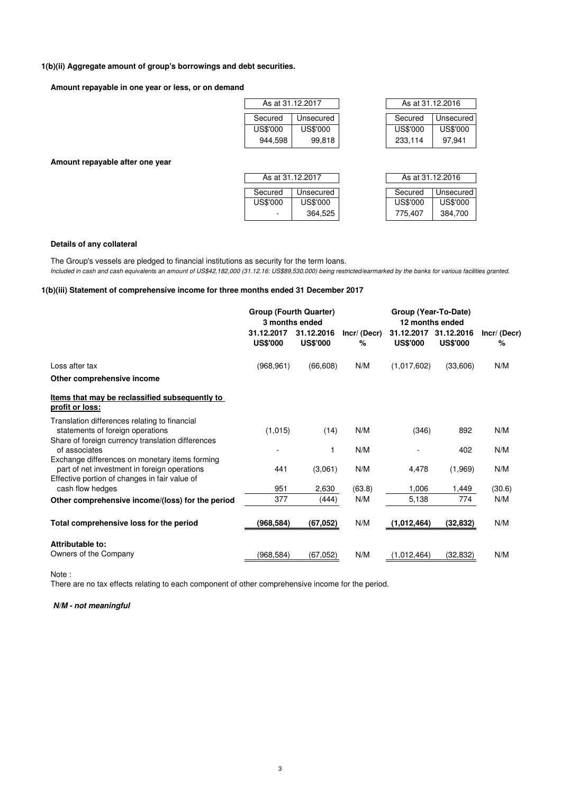## **1(b)(ii) Aggregate amount of group's borrowings and debt securities.**

**Amount repayable in one year or less, or on demand**

| As at 31.12.2017 |           | As at 31.12.2016 |                 |
|------------------|-----------|------------------|-----------------|
|                  |           |                  |                 |
| Secured          | Unsecured | Secured          | Unsecure        |
| US\$'000         | US\$'000  | <b>US\$'000</b>  | <b>US\$'000</b> |
| 944,598          | 99,818    | 233.114          | 97.941          |

| As at 31.12.2017 |           | As at 31.12.2016 |                 |
|------------------|-----------|------------------|-----------------|
|                  |           |                  |                 |
| Secured          | Unsecured | Secured          | Unsecured       |
| US\$'000         | US\$'000  | <b>US\$'000</b>  | <b>US\$'000</b> |
| 944.598          | 99,818    | 233,114          | 97.941          |

**Amount repayable after one year**

| As at 31.12.2017 |          | As at 31.12.2016 |                 |                 |
|------------------|----------|------------------|-----------------|-----------------|
|                  | Secured  | Unsecured        | Secured         | Unsecured       |
|                  | US\$'000 | US\$'000         | <b>US\$'000</b> | <b>US\$'000</b> |
|                  | ۰        | 364,525          | 775.407         | 384.700         |

| As at 31.12.2016 |           |  |  |  |  |  |
|------------------|-----------|--|--|--|--|--|
| Secured          |           |  |  |  |  |  |
|                  | Unsecured |  |  |  |  |  |
| US\$'000         | US\$'000  |  |  |  |  |  |
| 775.407          | 384.700   |  |  |  |  |  |

#### **Details of any collateral**

Included in cash and cash equivalents an amount of US\$42,182,000 (31.12.16: US\$89,530,000) being restricted/earmarked by the banks for various facilities granted. The Group's vessels are pledged to financial institutions as security for the term loans.

## **1(b)(iii) Statement of comprehensive income for three months ended 31 December 2017**

|                                                                                                | <b>Group (Fourth Quarter)</b><br>3 months ended |                               |                  | Group (Year-To-Date)<br>12 months ended |                               |                  |
|------------------------------------------------------------------------------------------------|-------------------------------------------------|-------------------------------|------------------|-----------------------------------------|-------------------------------|------------------|
|                                                                                                | 31.12.2017<br><b>US\$'000</b>                   | 31.12.2016<br><b>US\$'000</b> | Incr/(Decr)<br>% | 31.12.2017<br><b>US\$'000</b>           | 31.12.2016<br><b>US\$'000</b> | Incr/(Decr)<br>% |
| Loss after tax                                                                                 | (968, 961)                                      | (66, 608)                     | N/M              | (1,017,602)                             | (33,606)                      | N/M              |
| Other comprehensive income                                                                     |                                                 |                               |                  |                                         |                               |                  |
| Items that may be reclassified subsequently to<br>profit or loss:                              |                                                 |                               |                  |                                         |                               |                  |
| Translation differences relating to financial<br>statements of foreign operations              | (1,015)                                         | (14)                          | N/M              | (346)                                   | 892                           | N/M              |
| Share of foreign currency translation differences<br>of associates                             |                                                 |                               | N/M              |                                         | 402                           | N/M              |
| Exchange differences on monetary items forming<br>part of net investment in foreign operations | 441                                             | (3,061)                       | N/M              | 4,478                                   | (1,969)                       | N/M              |
| Effective portion of changes in fair value of<br>cash flow hedges                              | 951                                             | 2,630                         | (63.8)           | 1,006                                   | 1,449                         | (30.6)           |
| Other comprehensive income/(loss) for the period                                               | 377                                             | (444)                         | N/M              | 5,138                                   | 774                           | N/M              |
| Total comprehensive loss for the period                                                        | (968,584)                                       | (67, 052)                     | N/M              | (1,012,464)                             | (32, 832)                     | N/M              |
| Attributable to:                                                                               |                                                 |                               |                  |                                         |                               |                  |
| Owners of the Company                                                                          | (968,584)                                       | (67,052)                      | N/M              | (1,012,464)                             | (32, 832)                     | N/M              |

Note :

There are no tax effects relating to each component of other comprehensive income for the period.

#### **N/M - not meaningful**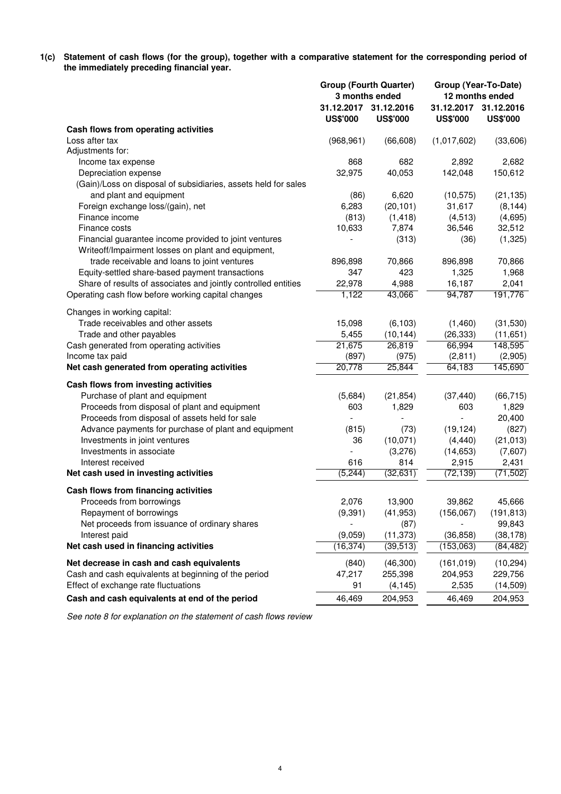**1(c) Statement of cash flows (for the group), together with a comparative statement for the corresponding period of the immediately preceding financial year.**

|                                                                                                             |                               | <b>Group (Fourth Quarter)</b><br>3 months ended | Group (Year-To-Date)<br>12 months ended |                               |  |
|-------------------------------------------------------------------------------------------------------------|-------------------------------|-------------------------------------------------|-----------------------------------------|-------------------------------|--|
|                                                                                                             | 31.12.2017<br><b>US\$'000</b> | 31.12.2016<br><b>US\$'000</b>                   | 31.12.2017<br><b>US\$'000</b>           | 31.12.2016<br><b>US\$'000</b> |  |
| Cash flows from operating activities                                                                        |                               |                                                 |                                         |                               |  |
| Loss after tax                                                                                              | (968, 961)                    | (66, 608)                                       | (1,017,602)                             | (33,606)                      |  |
| Adjustments for:                                                                                            |                               |                                                 |                                         |                               |  |
| Income tax expense                                                                                          | 868                           | 682                                             | 2,892                                   | 2,682                         |  |
| Depreciation expense                                                                                        | 32,975                        | 40,053                                          | 142,048                                 | 150,612                       |  |
| (Gain)/Loss on disposal of subsidiaries, assets held for sales                                              |                               |                                                 |                                         |                               |  |
| and plant and equipment                                                                                     | (86)                          | 6,620                                           | (10, 575)                               | (21, 135)                     |  |
| Foreign exchange loss/(gain), net                                                                           | 6,283                         | (20, 101)                                       | 31,617                                  | (8, 144)                      |  |
| Finance income                                                                                              | (813)                         | (1, 418)                                        | (4, 513)                                | (4,695)                       |  |
| Finance costs                                                                                               | 10,633                        | 7,874                                           | 36,546                                  | 32,512                        |  |
| Financial guarantee income provided to joint ventures<br>Writeoff/Impairment losses on plant and equipment, |                               | (313)                                           | (36)                                    | (1, 325)                      |  |
| trade receivable and loans to joint ventures                                                                | 896,898                       | 70,866                                          | 896,898                                 | 70,866                        |  |
| Equity-settled share-based payment transactions                                                             | 347                           | 423                                             | 1,325                                   | 1,968                         |  |
| Share of results of associates and jointly controlled entities                                              | 22,978                        | 4,988                                           | 16,187                                  | 2,041                         |  |
| Operating cash flow before working capital changes                                                          | 1,122                         | 43,066                                          | 94,787                                  | 191,776                       |  |
| Changes in working capital:                                                                                 |                               |                                                 |                                         |                               |  |
| Trade receivables and other assets                                                                          | 15,098                        | (6, 103)                                        | (1,460)                                 | (31,530)                      |  |
| Trade and other payables                                                                                    | 5,455                         | (10, 144)                                       | (26, 333)                               | (11,651)                      |  |
| Cash generated from operating activities                                                                    | 21,675                        | 26,819                                          | 66,994                                  | 148,595                       |  |
| Income tax paid                                                                                             | (897)                         | (975)                                           | (2,811)                                 | (2,905)                       |  |
| Net cash generated from operating activities                                                                | 20,778                        | 25,844                                          | 64,183                                  | 145,690                       |  |
| Cash flows from investing activities                                                                        |                               |                                                 |                                         |                               |  |
| Purchase of plant and equipment                                                                             | (5,684)                       | (21, 854)                                       | (37, 440)                               | (66, 715)                     |  |
| Proceeds from disposal of plant and equipment                                                               | 603                           | 1,829                                           | 603                                     | 1,829                         |  |
| Proceeds from disposal of assets held for sale                                                              | $\overline{\phantom{a}}$      | $\overline{\phantom{a}}$                        | $\blacksquare$                          | 20,400                        |  |
| Advance payments for purchase of plant and equipment                                                        | (815)                         | (73)                                            | (19, 124)                               | (827)                         |  |
| Investments in joint ventures                                                                               | 36                            | (10,071)                                        | (4, 440)                                | (21, 013)                     |  |
| Investments in associate                                                                                    |                               | (3,276)                                         | (14, 653)                               | (7,607)                       |  |
| Interest received                                                                                           | 616                           | 814                                             | 2,915                                   | 2,431                         |  |
| Net cash used in investing activities                                                                       | (5, 244)                      | (32, 631)                                       | (72, 139)                               | (71, 502)                     |  |
| Cash flows from financing activities                                                                        |                               |                                                 |                                         |                               |  |
| Proceeds from borrowings                                                                                    | 2,076                         | 13,900                                          | 39,862                                  | 45,666                        |  |
| Repayment of borrowings                                                                                     | (9, 391)                      | (41, 953)                                       | (156,067)                               | (191, 813)                    |  |
| Net proceeds from issuance of ordinary shares                                                               |                               | (87)                                            |                                         | 99,843                        |  |
| Interest paid                                                                                               | (9,059)                       | (11, 373)                                       | (36, 858)                               | (38, 178)                     |  |
| Net cash used in financing activities                                                                       | (16, 374)                     | (39, 513)                                       | (153,063)                               | (84, 482)                     |  |
| Net decrease in cash and cash equivalents                                                                   | (840)                         | (46,300)                                        | (161, 019)                              | (10, 294)                     |  |
| Cash and cash equivalents at beginning of the period                                                        | 47,217                        | 255,398                                         | 204,953                                 | 229,756                       |  |
| Effect of exchange rate fluctuations                                                                        | 91                            | (4, 145)                                        | 2,535                                   | (14, 509)                     |  |
| Cash and cash equivalents at end of the period                                                              | 46,469                        | 204,953                                         | 46,469                                  | 204,953                       |  |

See note 8 for explanation on the statement of cash flows review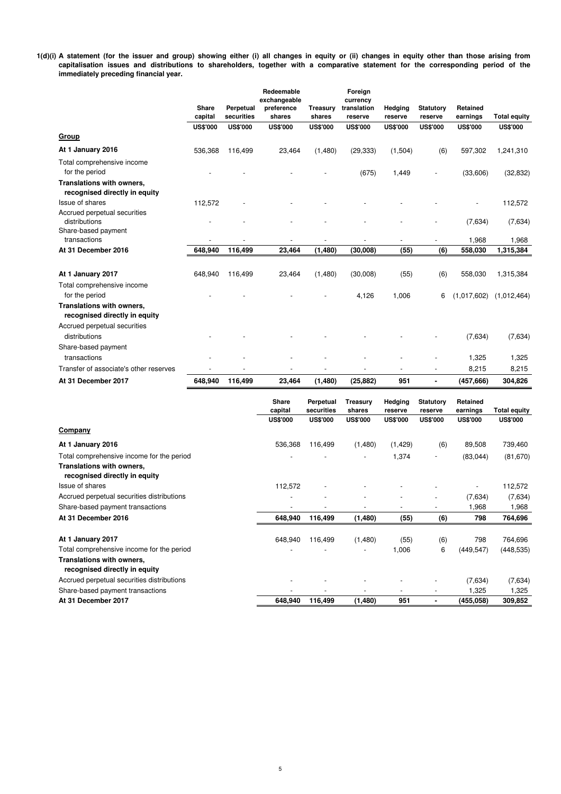**1(d)(i) A statement (for the issuer and group) showing either (i) all changes in equity or (ii) changes in equity other than those arising from capitalisation issues and distributions to shareholders, together with a comparative statement for the corresponding period of the immediately preceding financial year.**

|                                                                                                         | <b>Share</b><br>capital | Perpetual<br>securities | Redeemable<br>exchangeable<br>preference<br>shares | Treasury<br>shares       | Foreign<br>currency<br>translation<br>reserve | <b>Hedging</b><br>reserve | <b>Statutory</b><br>reserve | Retained<br>earnings | <b>Total equity</b> |
|---------------------------------------------------------------------------------------------------------|-------------------------|-------------------------|----------------------------------------------------|--------------------------|-----------------------------------------------|---------------------------|-----------------------------|----------------------|---------------------|
|                                                                                                         | <b>US\$'000</b>         | <b>US\$'000</b>         | <b>US\$'000</b>                                    | <b>US\$'000</b>          | <b>US\$'000</b>                               | <b>US\$'000</b>           | <b>US\$'000</b>             | <b>US\$'000</b>      | <b>US\$'000</b>     |
| Group                                                                                                   |                         |                         |                                                    |                          |                                               |                           |                             |                      |                     |
| At 1 January 2016                                                                                       | 536,368                 | 116,499                 | 23,464                                             | (1,480)                  | (29, 333)                                     | (1,504)                   | (6)                         | 597,302              | 1,241,310           |
| Total comprehensive income                                                                              |                         |                         |                                                    |                          |                                               |                           |                             |                      |                     |
| for the period                                                                                          |                         |                         |                                                    |                          | (675)                                         | 1,449                     |                             | (33,606)             | (32, 832)           |
| Translations with owners,<br>recognised directly in equity                                              |                         |                         |                                                    |                          |                                               |                           |                             |                      |                     |
| <b>Issue of shares</b>                                                                                  | 112,572                 |                         |                                                    |                          |                                               |                           |                             |                      | 112,572             |
| Accrued perpetual securities<br>distributions                                                           |                         |                         |                                                    |                          |                                               |                           |                             | (7,634)              | (7,634)             |
| Share-based payment<br>transactions                                                                     |                         |                         |                                                    | $\overline{\phantom{a}}$ | $\overline{a}$                                | $\overline{\phantom{a}}$  | $\overline{\phantom{0}}$    | 1,968                |                     |
| At 31 December 2016                                                                                     | 648,940                 | 116,499                 | 23,464                                             | (1, 480)                 | (30,008)                                      | (55)                      | (6)                         | 558,030              | 1,968<br>1,315,384  |
|                                                                                                         |                         |                         |                                                    |                          |                                               |                           |                             |                      |                     |
| At 1 January 2017                                                                                       | 648,940                 | 116,499                 | 23,464                                             | (1,480)                  | (30,008)                                      | (55)                      | (6)                         | 558,030              | 1,315,384           |
| Total comprehensive income                                                                              |                         |                         |                                                    |                          |                                               |                           |                             |                      |                     |
| for the period                                                                                          |                         |                         |                                                    |                          | 4,126                                         | 1,006                     | 6                           | (1,017,602)          | (1,012,464)         |
| Translations with owners,<br>recognised directly in equity                                              |                         |                         |                                                    |                          |                                               |                           |                             |                      |                     |
| Accrued perpetual securities                                                                            |                         |                         |                                                    |                          |                                               |                           |                             |                      |                     |
| distributions                                                                                           |                         |                         |                                                    |                          |                                               |                           |                             | (7,634)              | (7,634)             |
| Share-based payment                                                                                     |                         |                         |                                                    |                          |                                               |                           |                             |                      |                     |
| transactions                                                                                            |                         |                         |                                                    |                          |                                               |                           |                             | 1,325                | 1,325               |
| Transfer of associate's other reserves                                                                  |                         |                         |                                                    |                          |                                               |                           |                             | 8,215                | 8,215               |
| At 31 December 2017                                                                                     | 648,940                 | 116,499                 | 23,464                                             | (1,480)                  | (25, 882)                                     | 951                       |                             | (457, 666)           | 304,826             |
|                                                                                                         |                         |                         | <b>Share</b><br>capital                            | Perpetual<br>securities  | <b>Treasury</b><br>shares                     | Hedging<br>reserve        | <b>Statutory</b><br>reserve | Retained<br>earnings | <b>Total equity</b> |
|                                                                                                         |                         |                         | <b>US\$'000</b>                                    | <b>US\$'000</b>          | <b>US\$'000</b>                               | <b>US\$'000</b>           | <b>US\$'000</b>             | <b>US\$'000</b>      | <b>US\$'000</b>     |
| Company                                                                                                 |                         |                         |                                                    |                          |                                               |                           |                             |                      |                     |
| At 1 January 2016                                                                                       |                         |                         | 536,368                                            | 116,499                  | (1,480)                                       | (1, 429)                  | (6)                         | 89,508               | 739,460             |
| Total comprehensive income for the period<br>Translations with owners,<br>recognised directly in equity |                         |                         |                                                    |                          |                                               | 1,374                     |                             | (83, 044)            | (81, 670)           |
| <b>Issue of shares</b>                                                                                  |                         |                         | 112,572                                            |                          |                                               |                           |                             | $\overline{a}$       | 112,572             |
| Accrued perpetual securities distributions                                                              |                         |                         | $\overline{a}$                                     |                          |                                               | $\overline{a}$            |                             | (7,634)              | (7,634)             |
| Share-based payment transactions                                                                        |                         |                         |                                                    |                          |                                               |                           |                             | 1,968                | 1,968               |
| At 31 December 2016                                                                                     |                         |                         | 648,940                                            | 116,499                  | (1,480)                                       | (55)                      | (6)                         | 798                  | 764,696             |
|                                                                                                         |                         |                         |                                                    |                          |                                               |                           |                             |                      |                     |
| At 1 January 2017                                                                                       |                         |                         | 648,940                                            | 116,499                  | (1,480)                                       | (55)                      | (6)                         | 798                  | 764,696             |
| Total comprehensive income for the period                                                               |                         |                         | $\overline{a}$                                     |                          | $\overline{a}$                                | 1,006                     | 6                           | (449, 547)           | (448, 535)          |

**Translations with owners, recognised directly in equity** - - - - - (7,634) (7,634) - - - - - 1,325 1,325 **At 31 December 2017 116,499 648,940 (1,480) 951 - (455,058) 309,852**  Share-based payment transactions Accrued perpetual securities distributions mprehensive income for the period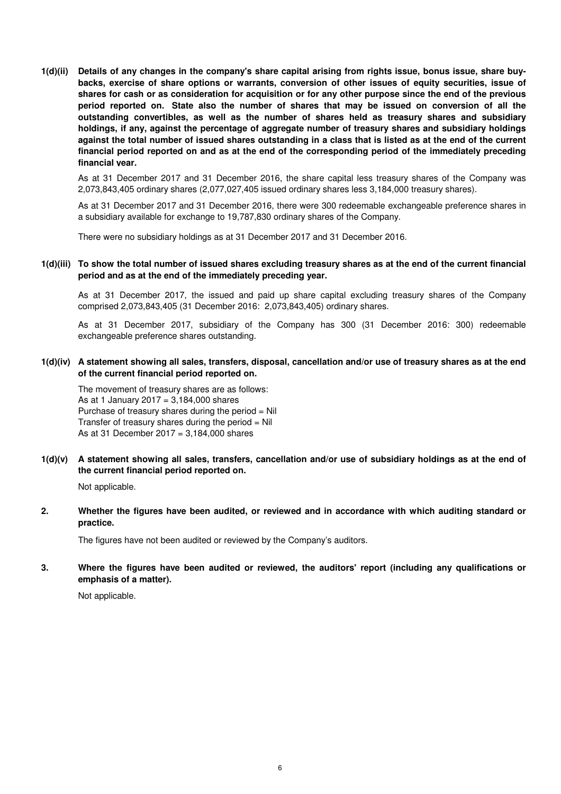**1(d)(ii) Details of any changes in the company's share capital arising from rights issue, bonus issue, share buybacks, exercise of share options or warrants, conversion of other issues of equity securities, issue of shares for cash or as consideration for acquisition or for any other purpose since the end of the previous period reported on. State also the number of shares that may be issued on conversion of all the outstanding convertibles, as well as the number of shares held as treasury shares and subsidiary holdings, if any, against the percentage of aggregate number of treasury shares and subsidiary holdings against the total number of issued shares outstanding in a class that is listed as at the end of the current financial period reported on and as at the end of the corresponding period of the immediately preceding financial year.**

As at 31 December 2017 and 31 December 2016, the share capital less treasury shares of the Company was 2,073,843,405 ordinary shares (2,077,027,405 issued ordinary shares less 3,184,000 treasury shares).

As at 31 December 2017 and 31 December 2016, there were 300 redeemable exchangeable preference shares in a subsidiary available for exchange to 19,787,830 ordinary shares of the Company.

There were no subsidiary holdings as at 31 December 2017 and 31 December 2016.

## **1(d)(iii) To show the total number of issued shares excluding treasury shares as at the end of the current financial period and as at the end of the immediately preceding year.**

As at 31 December 2017, the issued and paid up share capital excluding treasury shares of the Company comprised 2,073,843,405 (31 December 2016: 2,073,843,405) ordinary shares.

As at 31 December 2017, subsidiary of the Company has 300 (31 December 2016: 300) redeemable exchangeable preference shares outstanding.

**1(d)(iv) A statement showing all sales, transfers, disposal, cancellation and/or use of treasury shares as at the end of the current financial period reported on.**

The movement of treasury shares are as follows: As at 1 January 2017 =  $3.184,000$  shares Purchase of treasury shares during the period  $=$  Nil Transfer of treasury shares during the period  $=$  Nil As at 31 December  $2017 = 3,184,000$  shares

**1(d)(v) A statement showing all sales, transfers, cancellation and/or use of subsidiary holdings as at the end of the current financial period reported on.**

Not applicable.

**2. Whether the figures have been audited, or reviewed and in accordance with which auditing standard or practice.**

The figures have not been audited or reviewed by the Company's auditors.

**3. Where the figures have been audited or reviewed, the auditors' report (including any qualifications or emphasis of a matter).**

Not applicable.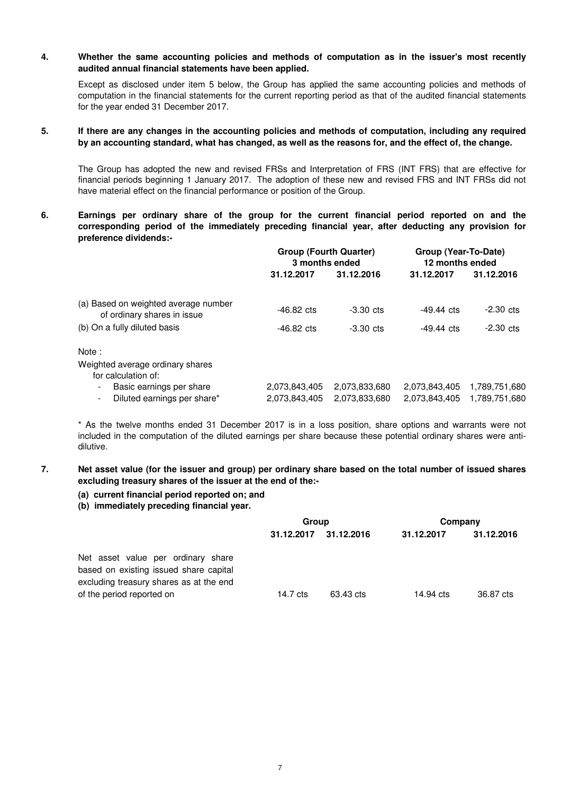#### **4. Whether the same accounting policies and methods of computation as in the issuer's most recently audited annual financial statements have been applied.**

Except as disclosed under item 5 below, the Group has applied the same accounting policies and methods of computation in the financial statements for the current reporting period as that of the audited financial statements for the year ended 31 December 2017.

#### **5. If there are any changes in the accounting policies and methods of computation, including any required by an accounting standard, what has changed, as well as the reasons for, and the effect of, the change.**

The Group has adopted the new and revised FRSs and Interpretation of FRS (INT FRS) that are effective for financial periods beginning 1 January 2017. The adoption of these new and revised FRS and INT FRSs did not have material effect on the financial performance or position of the Group.

**6. Earnings per ordinary share of the group for the current financial period reported on and the corresponding period of the immediately preceding financial year, after deducting any provision for preference dividends:-**

|                                                                           | <b>Group (Fourth Quarter)</b><br>3 months ended |                                | Group (Year-To-Date)<br>12 months ended |                                |  |
|---------------------------------------------------------------------------|-------------------------------------------------|--------------------------------|-----------------------------------------|--------------------------------|--|
|                                                                           | 31.12.2017                                      | 31.12.2016                     | 31.12.2017                              | 31.12.2016                     |  |
| (a) Based on weighted average number<br>of ordinary shares in issue       | $-46.82 \text{ cts}$                            | $-3.30$ cts                    | $-49.44$ cts                            | $-2.30$ cts                    |  |
| (b) On a fully diluted basis                                              | $-46.82 \text{ cts}$                            | $-3.30$ cts                    | $-49.44 \text{ cts}$                    | $-2.30$ cts                    |  |
| Note:                                                                     |                                                 |                                |                                         |                                |  |
| Weighted average ordinary shares<br>for calculation of:                   |                                                 |                                |                                         |                                |  |
| Basic earnings per share<br>$\blacksquare$<br>Diluted earnings per share* | 2,073,843,405<br>2,073,843,405                  | 2,073,833,680<br>2,073,833,680 | 2,073,843,405<br>2,073,843,405          | 1,789,751,680<br>1,789,751,680 |  |

\* As the twelve months ended 31 December 2017 is in a loss position, share options and warrants were not included in the computation of the diluted earnings per share because these potential ordinary shares were antidilutive.

#### **7. Net asset value (for the issuer and group) per ordinary share based on the total number of issued shares excluding treasury shares of the issuer at the end of the:-**

## **(a) current financial period reported on; and**

## **(b) immediately preceding financial year.**

|                                                                                                                         | Group      |            | Company    |            |  |
|-------------------------------------------------------------------------------------------------------------------------|------------|------------|------------|------------|--|
|                                                                                                                         | 31.12.2017 | 31.12.2016 | 31.12.2017 | 31.12.2016 |  |
| Net asset value per ordinary share<br>based on existing issued share capital<br>excluding treasury shares as at the end |            |            |            |            |  |
| of the period reported on                                                                                               | 14.7 cts   | 63.43 cts  | 14.94 cts  | 36.87 cts  |  |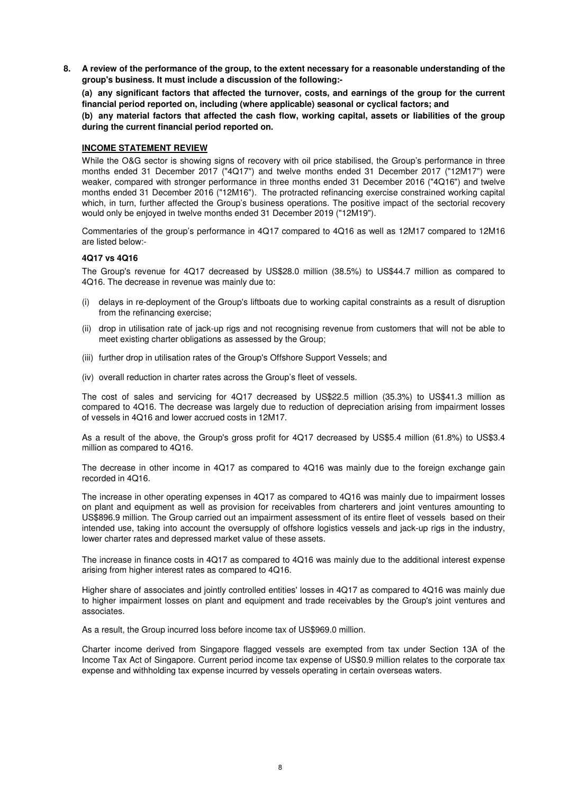**8. A review of the performance of the group, to the extent necessary for a reasonable understanding of the group's business. It must include a discussion of the following:-** 

**(a) any significant factors that affected the turnover, costs, and earnings of the group for the current financial period reported on, including (where applicable) seasonal or cyclical factors; and**

**(b) any material factors that affected the cash flow, working capital, assets or liabilities of the group during the current financial period reported on.**

## **INCOME STATEMENT REVIEW**

While the O&G sector is showing signs of recovery with oil price stabilised, the Group's performance in three months ended 31 December 2017 ("4Q17") and twelve months ended 31 December 2017 ("12M17") were weaker, compared with stronger performance in three months ended 31 December 2016 ("4Q16") and twelve months ended 31 December 2016 ("12M16"). The protracted refinancing exercise constrained working capital which, in turn, further affected the Group's business operations. The positive impact of the sectorial recovery would only be enjoyed in twelve months ended 31 December 2019 ("12M19").

Commentaries of the group's performance in 4Q17 compared to 4Q16 as well as 12M17 compared to 12M16 are listed below:-

## **4Q17 vs 4Q16**

The Group's revenue for 4Q17 decreased by US\$28.0 million (38.5%) to US\$44.7 million as compared to 4Q16. The decrease in revenue was mainly due to:

- (i) delays in re-deployment of the Group's liftboats due to working capital constraints as a result of disruption from the refinancing exercise;
- (ii) drop in utilisation rate of jack-up rigs and not recognising revenue from customers that will not be able to meet existing charter obligations as assessed by the Group;
- (iii) further drop in utilisation rates of the Group's Offshore Support Vessels; and
- (iv) overall reduction in charter rates across the Group's fleet of vessels.

The cost of sales and servicing for 4Q17 decreased by US\$22.5 million (35.3%) to US\$41.3 million as compared to 4Q16. The decrease was largely due to reduction of depreciation arising from impairment losses of vessels in 4Q16 and lower accrued costs in 12M17.

As a result of the above, the Group's gross profit for 4Q17 decreased by US\$5.4 million (61.8%) to US\$3.4 million as compared to 4Q16.

The decrease in other income in 4Q17 as compared to 4Q16 was mainly due to the foreign exchange gain recorded in 4Q16.

The increase in other operating expenses in 4Q17 as compared to 4Q16 was mainly due to impairment losses on plant and equipment as well as provision for receivables from charterers and joint ventures amounting to US\$896.9 million. The Group carried out an impairment assessment of its entire fleet of vessels based on their intended use, taking into account the oversupply of offshore logistics vessels and jack-up rigs in the industry, lower charter rates and depressed market value of these assets.

The increase in finance costs in 4Q17 as compared to 4Q16 was mainly due to the additional interest expense arising from higher interest rates as compared to 4Q16.

Higher share of associates and jointly controlled entities' losses in 4Q17 as compared to 4Q16 was mainly due to higher impairment losses on plant and equipment and trade receivables by the Group's joint ventures and associates.

As a result, the Group incurred loss before income tax of US\$969.0 million.

Charter income derived from Singapore flagged vessels are exempted from tax under Section 13A of the Income Tax Act of Singapore. Current period income tax expense of US\$0.9 million relates to the corporate tax expense and withholding tax expense incurred by vessels operating in certain overseas waters.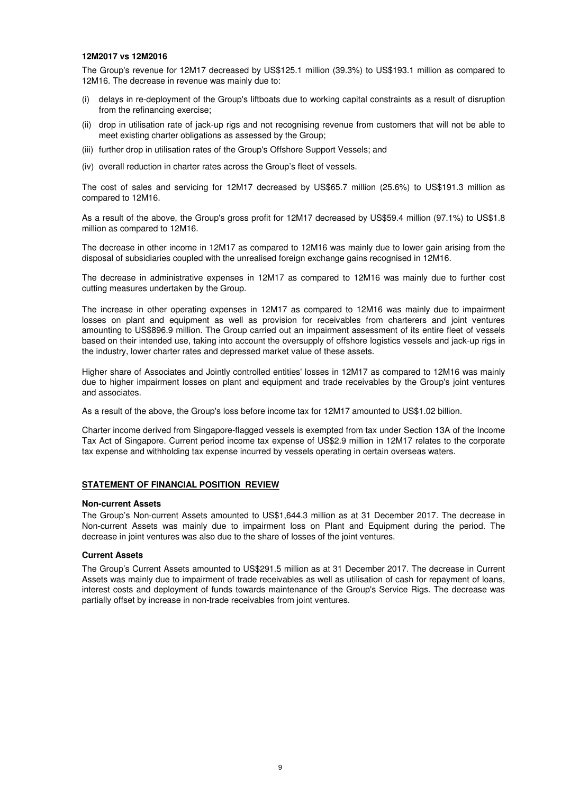#### **12M2017 vs 12M2016**

The Group's revenue for 12M17 decreased by US\$125.1 million (39.3%) to US\$193.1 million as compared to 12M16. The decrease in revenue was mainly due to:

- (i) delays in re-deployment of the Group's liftboats due to working capital constraints as a result of disruption from the refinancing exercise;
- (ii) drop in utilisation rate of jack-up rigs and not recognising revenue from customers that will not be able to meet existing charter obligations as assessed by the Group;
- (iii) further drop in utilisation rates of the Group's Offshore Support Vessels; and
- (iv) overall reduction in charter rates across the Group's fleet of vessels.

The cost of sales and servicing for 12M17 decreased by US\$65.7 million (25.6%) to US\$191.3 million as compared to 12M16.

As a result of the above, the Group's gross profit for 12M17 decreased by US\$59.4 million (97.1%) to US\$1.8 million as compared to 12M16.

The decrease in other income in 12M17 as compared to 12M16 was mainly due to lower gain arising from the disposal of subsidiaries coupled with the unrealised foreign exchange gains recognised in 12M16.

The decrease in administrative expenses in 12M17 as compared to 12M16 was mainly due to further cost cutting measures undertaken by the Group.

The increase in other operating expenses in 12M17 as compared to 12M16 was mainly due to impairment losses on plant and equipment as well as provision for receivables from charterers and joint ventures amounting to US\$896.9 million. The Group carried out an impairment assessment of its entire fleet of vessels based on their intended use, taking into account the oversupply of offshore logistics vessels and jack-up rigs in the industry, lower charter rates and depressed market value of these assets.

Higher share of Associates and Jointly controlled entities' losses in 12M17 as compared to 12M16 was mainly due to higher impairment losses on plant and equipment and trade receivables by the Group's joint ventures and associates.

As a result of the above, the Group's loss before income tax for 12M17 amounted to US\$1.02 billion.

Charter income derived from Singapore-flagged vessels is exempted from tax under Section 13A of the Income Tax Act of Singapore. Current period income tax expense of US\$2.9 million in 12M17 relates to the corporate tax expense and withholding tax expense incurred by vessels operating in certain overseas waters.

## **STATEMENT OF FINANCIAL POSITION REVIEW**

#### **Non-current Assets**

The Group's Non-current Assets amounted to US\$1,644.3 million as at 31 December 2017. The decrease in Non-current Assets was mainly due to impairment loss on Plant and Equipment during the period. The decrease in joint ventures was also due to the share of losses of the joint ventures.

#### **Current Assets**

The Group's Current Assets amounted to US\$291.5 million as at 31 December 2017. The decrease in Current Assets was mainly due to impairment of trade receivables as well as utilisation of cash for repayment of loans, interest costs and deployment of funds towards maintenance of the Group's Service Rigs. The decrease was partially offset by increase in non-trade receivables from joint ventures.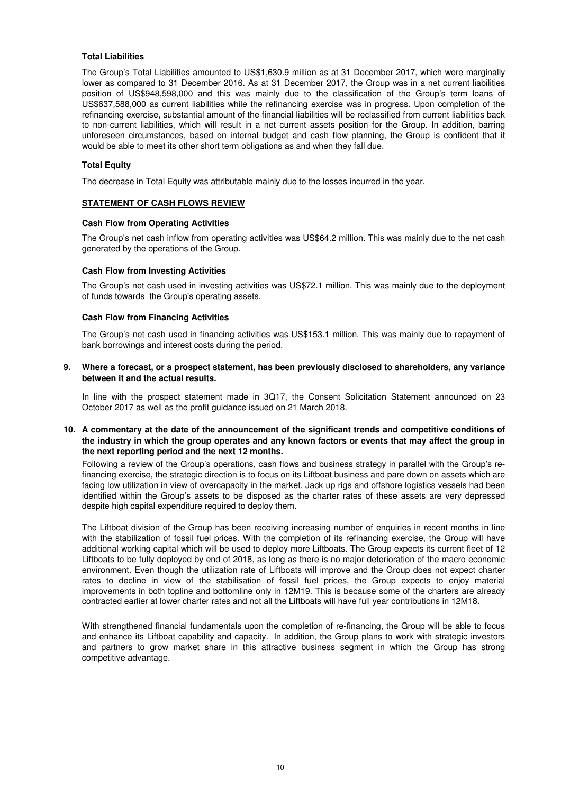## **Total Liabilities**

The Group's Total Liabilities amounted to US\$1,630.9 million as at 31 December 2017, which were marginally lower as compared to 31 December 2016. As at 31 December 2017, the Group was in a net current liabilities position of US\$948,598,000 and this was mainly due to the classification of the Group's term loans of US\$637,588,000 as current liabilities while the refinancing exercise was in progress. Upon completion of the refinancing exercise, substantial amount of the financial liabilities will be reclassified from current liabilities back to non-current liabilities, which will result in a net current assets position for the Group. In addition, barring unforeseen circumstances, based on internal budget and cash flow planning, the Group is confident that it would be able to meet its other short term obligations as and when they fall due.

## **Total Equity**

The decrease in Total Equity was attributable mainly due to the losses incurred in the year.

## **STATEMENT OF CASH FLOWS REVIEW**

#### **Cash Flow from Operating Activities**

The Group's net cash inflow from operating activities was US\$64.2 million. This was mainly due to the net cash generated by the operations of the Group.

#### **Cash Flow from Investing Activities**

The Group's net cash used in investing activities was US\$72.1 million. This was mainly due to the deployment of funds towards the Group's operating assets.

#### **Cash Flow from Financing Activities**

The Group's net cash used in financing activities was US\$153.1 million. This was mainly due to repayment of bank borrowings and interest costs during the period.

#### **9. Where a forecast, or a prospect statement, has been previously disclosed to shareholders, any variance between it and the actual results.**

In line with the prospect statement made in 3Q17, the Consent Solicitation Statement announced on 23 October 2017 as well as the profit guidance issued on 21 March 2018.

## **10. A commentary at the date of the announcement of the significant trends and competitive conditions of the industry in which the group operates and any known factors or events that may affect the group in the next reporting period and the next 12 months.**

Following a review of the Group's operations, cash flows and business strategy in parallel with the Group's refinancing exercise, the strategic direction is to focus on its Liftboat business and pare down on assets which are facing low utilization in view of overcapacity in the market. Jack up rigs and offshore logistics vessels had been identified within the Group's assets to be disposed as the charter rates of these assets are very depressed despite high capital expenditure required to deploy them.

The Liftboat division of the Group has been receiving increasing number of enquiries in recent months in line with the stabilization of fossil fuel prices. With the completion of its refinancing exercise, the Group will have additional working capital which will be used to deploy more Liftboats. The Group expects its current fleet of 12 Liftboats to be fully deployed by end of 2018, as long as there is no major deterioration of the macro economic environment. Even though the utilization rate of Liftboats will improve and the Group does not expect charter rates to decline in view of the stabilisation of fossil fuel prices, the Group expects to enjoy material improvements in both topline and bottomline only in 12M19. This is because some of the charters are already contracted earlier at lower charter rates and not all the Liftboats will have full year contributions in 12M18.

With strengthened financial fundamentals upon the completion of re-financing, the Group will be able to focus and enhance its Liftboat capability and capacity. In addition, the Group plans to work with strategic investors and partners to grow market share in this attractive business segment in which the Group has strong competitive advantage.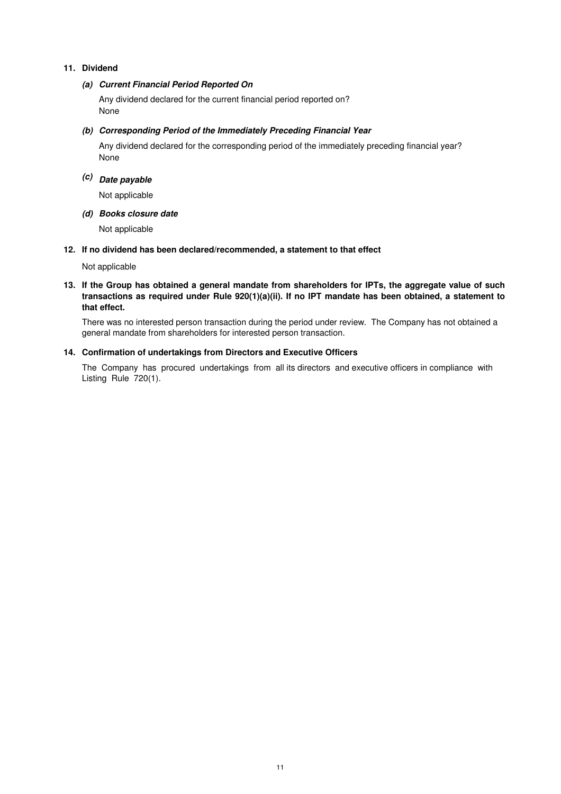## **11. Dividend**

## **(a) Current Financial Period Reported On**

Any dividend declared for the current financial period reported on? None

## **(b) Corresponding Period of the Immediately Preceding Financial Year**

None Any dividend declared for the corresponding period of the immediately preceding financial year?

# **(c) Date payable**

Not applicable

## **(d) Books closure date**

Not applicable

## **12. If no dividend has been declared/recommended, a statement to that effect**

Not applicable

## **13. If the Group has obtained a general mandate from shareholders for IPTs, the aggregate value of such transactions as required under Rule 920(1)(a)(ii). If no IPT mandate has been obtained, a statement to that effect.**

There was no interested person transaction during the period under review. The Company has not obtained a general mandate from shareholders for interested person transaction.

## **14. Confirmation of undertakings from Directors and Executive Officers**

The Company has procured undertakings from all its directors and executive officers in compliance with Listing Rule 720(1).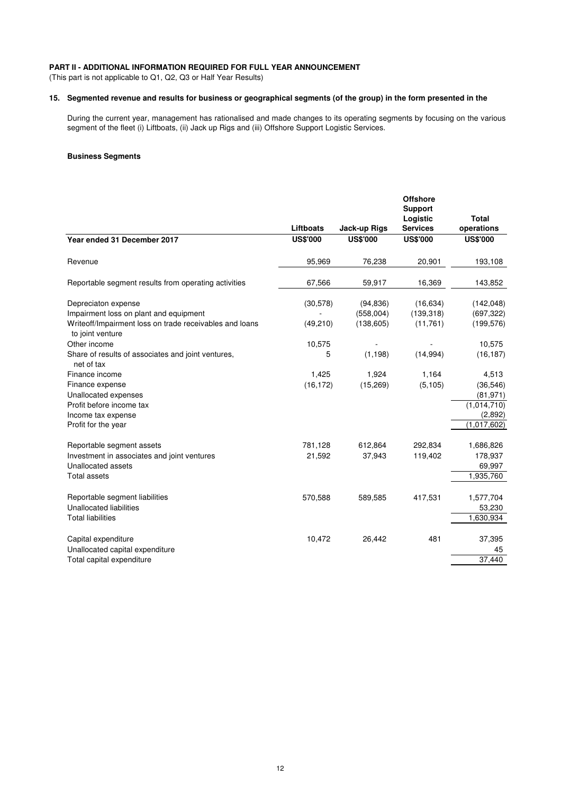# **PART II - ADDITIONAL INFORMATION REQUIRED FOR FULL YEAR ANNOUNCEMENT**

(This part is not applicable to Q1, Q2, Q3 or Half Year Results)

#### **15. Segmented revenue and results for business or geographical segments (of the group) in the form presented in the**

During the current year, management has rationalised and made changes to its operating segments by focusing on the various segment of the fleet (i) Liftboats, (ii) Jack up Rigs and (iii) Offshore Support Logistic Services.

#### **Business Segments**

|                 |                 | <b>Offshore</b>         |                                           |
|-----------------|-----------------|-------------------------|-------------------------------------------|
|                 |                 | Logistic                | <b>Total</b>                              |
| Liftboats       | Jack-up Rigs    | <b>Services</b>         | operations                                |
| <b>US\$'000</b> | <b>US\$'000</b> | <b>US\$'000</b>         | <b>US\$'000</b>                           |
| 95,969          | 76,238          | 20,901                  | 193,108                                   |
| 67,566          | 59,917          | 16,369                  | 143,852                                   |
| (30,578)        | (94, 836)       | (16, 634)               | (142, 048)                                |
|                 |                 |                         | (697, 322)                                |
|                 |                 |                         | (199, 576)                                |
| 10,575          |                 |                         | 10,575                                    |
| 5               | (1, 198)        | (14, 994)               | (16, 187)                                 |
| 1,425           | 1,924           | 1,164                   | 4,513                                     |
| (16, 172)       | (15, 269)       | (5, 105)                | (36, 546)                                 |
|                 |                 |                         | (81, 971)                                 |
|                 |                 |                         | (1,014,710)                               |
|                 |                 |                         | (2,892)                                   |
|                 |                 |                         | (1,017,602)                               |
| 781,128         | 612,864         | 292,834                 | 1,686,826                                 |
| 21,592          | 37,943          | 119,402                 | 178,937                                   |
|                 |                 |                         | 69,997                                    |
|                 |                 |                         | 1,935,760                                 |
| 570,588         | 589,585         | 417,531                 | 1,577,704                                 |
|                 |                 |                         | 53,230                                    |
|                 |                 |                         | 1,630,934                                 |
| 10,472          | 26,442          | 481                     | 37,395                                    |
|                 |                 |                         | 45                                        |
|                 |                 |                         | 37,440                                    |
|                 | (49, 210)       | (558,004)<br>(138, 605) | <b>Support</b><br>(139, 318)<br>(11, 761) |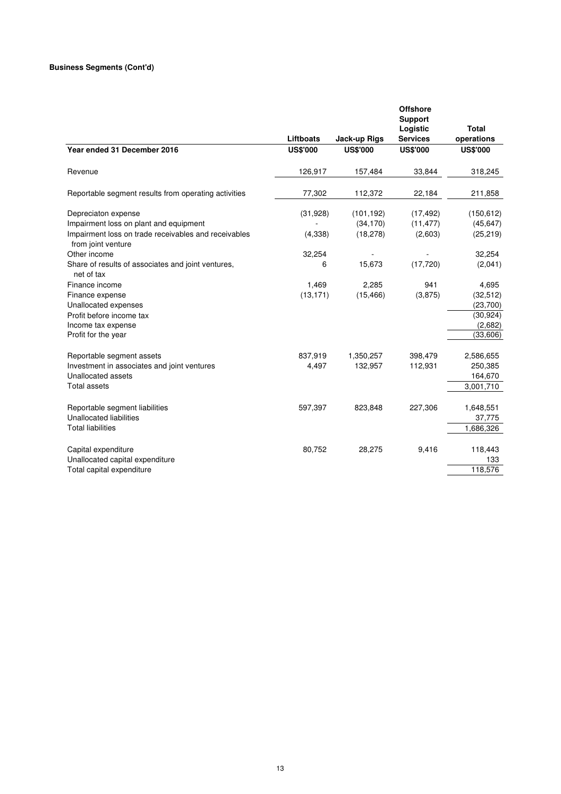|                                                                                                                      |                 |                        | <b>Offshore</b><br><b>Support</b> |                            |
|----------------------------------------------------------------------------------------------------------------------|-----------------|------------------------|-----------------------------------|----------------------------|
|                                                                                                                      | Liftboats       | Jack-up Rigs           | Logistic<br><b>Services</b>       | <b>Total</b><br>operations |
| Year ended 31 December 2016                                                                                          | <b>US\$'000</b> | <b>US\$'000</b>        | <b>US\$'000</b>                   | <b>US\$'000</b>            |
| Revenue                                                                                                              | 126,917         | 157,484                | 33,844                            | 318,245                    |
| Reportable segment results from operating activities                                                                 | 77,302          | 112,372                | 22,184                            | 211,858                    |
| Depreciaton expense                                                                                                  | (31, 928)       | (101, 192)             | (17, 492)                         | (150, 612)                 |
| Impairment loss on plant and equipment<br>Impairment loss on trade receivables and receivables<br>from joint venture | (4, 338)        | (34, 170)<br>(18, 278) | (11, 477)<br>(2,603)              | (45, 647)<br>(25, 219)     |
| Other income                                                                                                         | 32,254          |                        |                                   | 32,254                     |
| Share of results of associates and joint ventures,<br>net of tax                                                     | 6               | 15,673                 | (17, 720)                         | (2,041)                    |
| Finance income                                                                                                       | 1,469           | 2,285                  | 941                               | 4,695                      |
| Finance expense                                                                                                      | (13, 171)       | (15, 466)              | (3,875)                           | (32, 512)                  |
| Unallocated expenses                                                                                                 |                 |                        |                                   | (23, 700)                  |
| Profit before income tax                                                                                             |                 |                        |                                   | (30, 924)                  |
| Income tax expense                                                                                                   |                 |                        |                                   | (2,682)                    |
| Profit for the year                                                                                                  |                 |                        |                                   | (33,606)                   |
| Reportable segment assets                                                                                            | 837,919         | 1,350,257              | 398,479                           | 2,586,655                  |
| Investment in associates and joint ventures                                                                          | 4,497           | 132,957                | 112,931                           | 250,385                    |
| Unallocated assets                                                                                                   |                 |                        |                                   | 164,670                    |
| <b>Total assets</b>                                                                                                  |                 |                        |                                   | 3,001,710                  |
| Reportable segment liabilities                                                                                       | 597,397         | 823,848                | 227,306                           | 1,648,551                  |
| Unallocated liabilities                                                                                              |                 |                        |                                   | 37,775                     |
| <b>Total liabilities</b>                                                                                             |                 |                        |                                   | 1,686,326                  |
| Capital expenditure                                                                                                  | 80,752          | 28,275                 | 9,416                             | 118,443                    |
| Unallocated capital expenditure                                                                                      |                 |                        |                                   | 133                        |
| Total capital expenditure                                                                                            |                 |                        |                                   | 118,576                    |